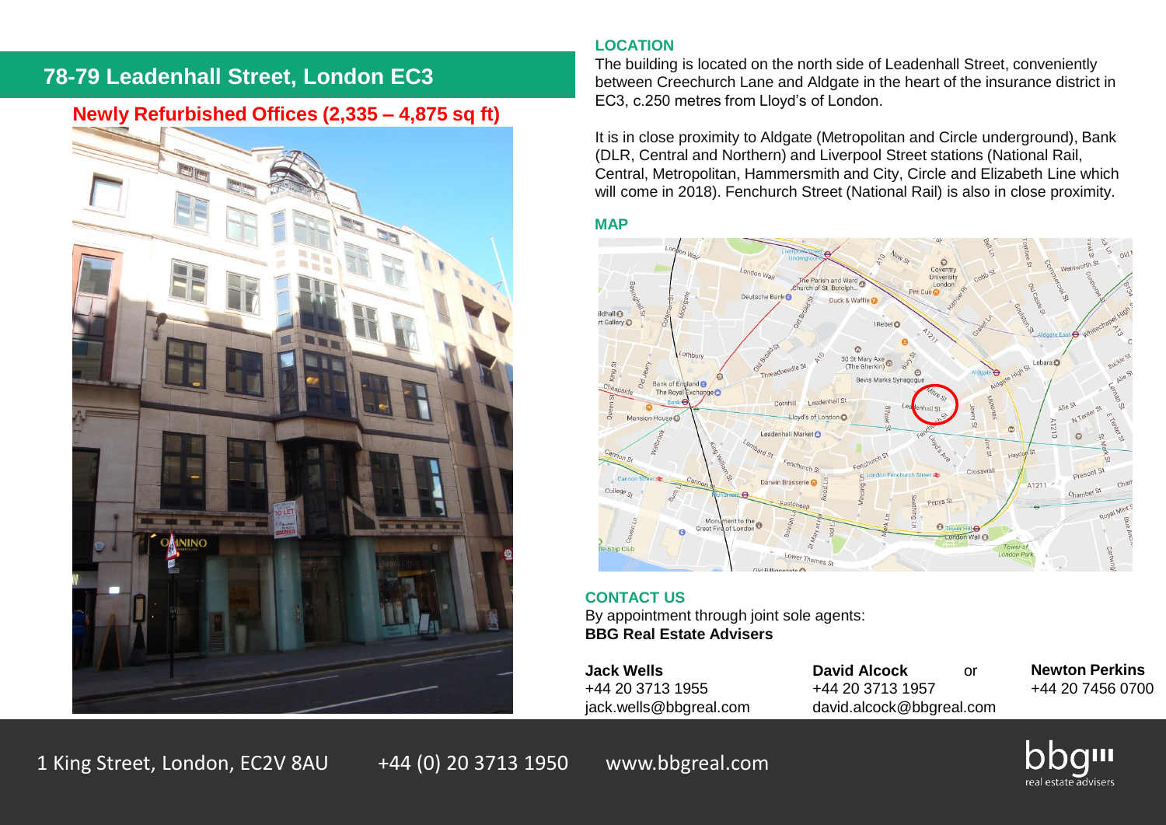# **78-79 Leadenhall Street, London EC3**

## **Newly Refurbished Offices (2,335 – 4,875 sq ft)**



## **LOCATION**

The building is located on the north side of Leadenhall Street, conveniently between Creechurch Lane and Aldgate in the heart of the insurance district in EC3, c.250 metres from Lloyd's of London.

It is in close proximity to Aldgate (Metropolitan and Circle underground), Bank (DLR, Central and Northern) and Liverpool Street stations (National Rail, Central, Metropolitan, Hammersmith and City, Circle and Elizabeth Line which will come in 2018). Fenchurch Street (National Rail) is also in close proximity.

## **MAP**



#### **CONTACT US**

By appointment through joint sole agents: **BBG Real Estate Advisers**

+44 20 3713 1955 +44 20 3713 1957

**Jack Wells David Alcock** or jack.wells@bbgreal.com david.alcock@bbgreal.com **Newton Perkins** +44 20 7456 0700

1 King Street, London, EC2V 8AU +44 (0) 20 3713 1950 www.bbgreal.com